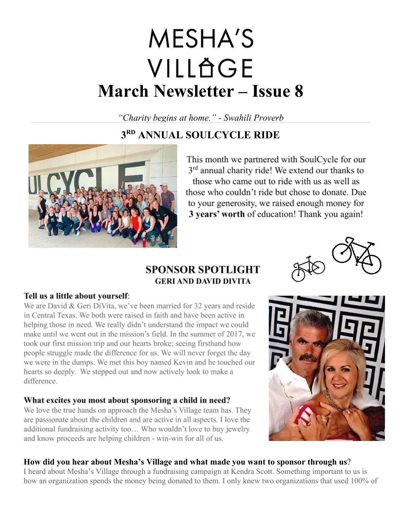# **MESHA'S** VILLÄGE **March Newsletter – Issue 8**

*"Charity begins at home." - Swahili Proverb*

# **3RD ANNUAL SOULCYCLE RIDE**



This month we partnered with SoulCycle for our 3<sup>rd</sup> annual charity ride! We extend our thanks to those who came out to ride with us as well as those who couldn't ride but chose to donate. Due to your generosity, we raised enough money for 3 years' worth of education! Thank you again!

# **SPONSOR SPOTLIGHT GERI AND DAVID DIVITA**



#### Tell us a little about yourself:

We are David & Geri DiVita, we've been married for 32 years and reside in Central Texas. We both were raised in faith and have been active in helping those in need. We really didn't understand the impact we could make until we went out in the mission's field. In the summer of 2017, we took our first mission trip and our hearts broke; seeing firsthand how people struggle made the difference for us. We will never forget the day we were in the dumps. We met this boy named Kevin and he touched our hearts so deeply. We stepped out and now actively look to make a difference.

## What excites you most about sponsoring a child in need?

We love the true hands on approach the Mesha's Village team has. They are passionate about the children and are active in all aspects. I love the additional fundraising activity too... Who wouldn't love to buy jewelry and know proceeds are helping children - win-win for all of us.



#### **How did you hear about Mesha's Village and what made you want to sponsor through us**?

I heard about Mesha's Village through a fundraising campaign at Kendra Scott. Something important to us is how an organization spends the money being donated to them. I only knew two organizations that used 100% of